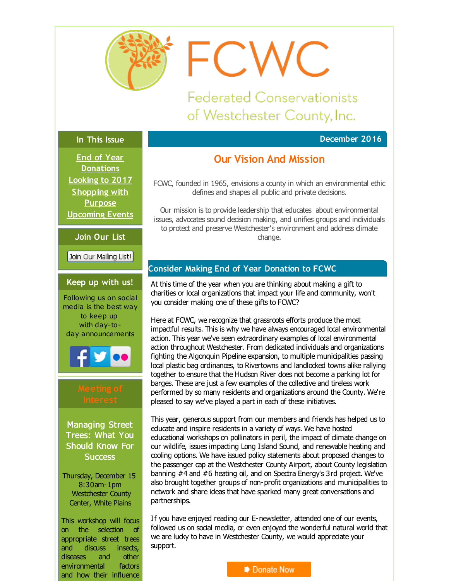<span id="page-0-0"></span>

FCWC

**Federated Conservationists** of Westchester County, Inc.

## **December 2016**

#### **In This Issue**

**End of Year [Donations](#page-0-0) [Looking](#page-0-0) to 2017 [Shopping](#page-0-0) with Purpose [Upcoming](#page-0-0) Events**

**Join Our List**

Join Our Mailing List!

#### **Keep up with us!**

Following us on social media is the best way to keep up with day-today announcements



Managing Street Trees: What You Should Know For **Success** 

Thursday, December 15 8:30am-1pm Westchester County Center, White Plains

This workshop will focus on the selection of appropriate street trees and discuss insects, diseases and other environmental factors and how their influence

# **Our Vision And Mission**

FCWC, founded in 1965, envisions a county in which an environmental ethic defines and shapes all public and private decisions.

Our mission is to provide leadership that educates about environmental issues, advocates sound decision making, and unifies groups and individuals to protect and preserve Westchester's environment and address dimate change.

## **Consider Making End of Year Donation to FCWC**

At this time of the year when you are thinking about making a gift to charities or local organizations that impact your life and community, won't you consider making one of these gifts to FCWC?

Here at FCWC, we recognize that grassroots efforts produce the most impactful results. This is why we have always encouraged local environmental action. This year we've seen extraordinary examples of local environmental action throughout Westchester. From dedicated individuals and organizations fighting the Algonquin Pipeline expansion, to multiple municipalities passing local plastic bag ordinances, to Rivertowns and landlocked towns alike rallying together to ensure that the Hudson River does not become a parking lot for barges. These are just a few examples of the collective and tireless work performed by so many residents and organizations around the County. We're pleased to say we've played a part in each of these initiatives.

This year, generous support from our members and friends has helped us to educate and inspire residents in a variety of ways. We have hosted educational workshops on pollinators in peril, the impact of climate change on our wildlife, issues impacting Long Island Sound, and renewable heating and cooling options. We have issued policy statements about proposed changes to the passenger cap at the Westchester County Airport, about County legislation banning #4 and #6 heating oil, and on Spectra Energy's 3rd project. We've also brought together groups of non-profit organizations and municipalities to network and share ideas that have sparked many great conversations and partnerships.

If you have enjoyed reading our E-newsletter, attended one of our events, followed us on social media, or even enjoyed the wonderful natural world that we are lucky to have in Westchester County, we would appreciate your support.

## Donate Now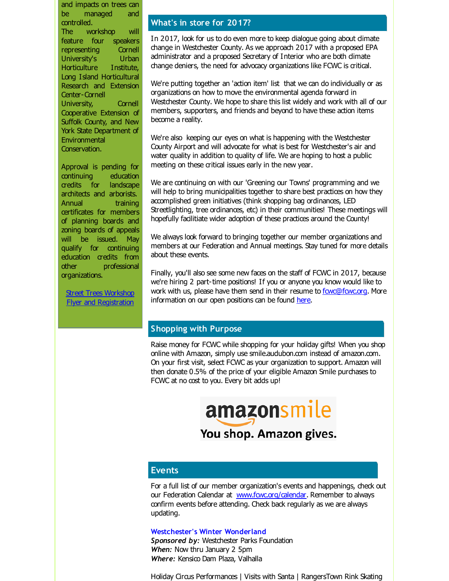and impacts on trees can be managed and controlled. The workshop will feature four speakers representing Cornell<br>University's Urban University's Horticulture Institute, Long Island Horticultural Research and Extension Center-Cornell University, Cornell Cooperative Extension of Suffolk County, and New York State Department of Environmental Conservation.

Approval is pending for continuing education credits for landscape architects and arborists. Annual training certificates for members of planning boards and zoning boards of appeals will be issued. May qualify for continuing education credits from other professional organizations.

Street Trees Workshop **Flyer and [Registration](http://r20.rs6.net/tn.jsp?f=001POGKKIyD6wAvbxq3s5A9PxIwsm37pEcvfMDykiyw9BNJynD0Z1oxlq5yYntRmjD0jYzRAWfJ1LAMpkLw_y0Td--tmxbTggtvEMNiFeGuBq8hWi-o-RCvll4HqyP2olNQm5oiqpJeG-s5XmeKrc14NWlh0cVEeJDBVNdo7C3O5XCDdIWMUPZTG6oKJq3l7BzzkNN8s_4YUMFDlRace5yqrJ2tl7XMYAUyXehKwJrVueVcya9SZWk0jFslAVYFyzWQ&c=&ch=)** 

## **What's in store for 2017?**

In 2017, look for us to do even more to keep dialogue going about climate change in Westchester County. As we approach 2017 with a proposed EPA administrator and a proposed Secretary of Interior who are both dimate change deniers, the need for advocacy organizations like FCWC is critical.

We're putting together an 'action item' list that we can do individually or as organizations on how to move the environmental agenda forward in Westchester County. We hope to share this list widely and work with all of our members, supporters, and friends and beyond to have these action items become a reality.

We're also keeping our eyes on what is happening with the Westchester County Airport and will advocate for what is best for Westchester's air and water quality in addition to quality of life. We are hoping to host a public meeting on these critical issues early in the new year.

We are continuing on with our 'Greening our Towns' programming and we will help to bring municipalities together to share best practices on how they accomplished green initiatives (think shopping bag ordinances, LED Streetlighting, tree ordinances, etc) in their communities! These meetings will hopefully facilitiate wider adoption of these practices around the County!

We always look forward to bringing together our member organizations and members at our Federation and Annual meetings. Stay tuned for more details about these events.

Finally, you'll also see some new faces on the staff of FCWC in 2017, because we're hiring 2 part-time positions! If you or anyone you know would like to work with us, please have them send in their resume to **fowc@fowc.org**. More information on our open positions can be found [here](http://r20.rs6.net/tn.jsp?f=001POGKKIyD6wAvbxq3s5A9PxIwsm37pEcvfMDykiyw9BNJynD0Z1oxltEt8e0k0xKSu1Fzeh7TBbDZluE-CKXfMf8WgIg9zi4nnHyPFDIBVmrK1E9xISmamluOxUaxTA8NlXLsqWtBtjJ1CiD9FBfI2nuiDxtbPIWJ&c=&ch=).

## **Shopping with Purpose**

Raise money for FCWC while shopping for your holiday gifts! When you shop online with Amazon, simply use smile.audubon.com instead of amazon.com. On your first visit, select FCWC as your organization to support. Amazon will then donate 0.5% of the price of your eligible Amazon Smile purchases to FCWC at no cost to you. Every bit adds up!

> amazonsmile You shop. Amazon gives.

## **Events**

For a full list of our member organization's events and happenings, check out our Federation Calendar at www.fowc.org/calendar. Remember to always confirm events before attending. Check back regularly as we are always updating.

#### **Westchester's Winter Wonderland**

Sponsored by: Westchester Parks Foundation *When:* Now thru January 2 5pm *Where:* Kensico Dam Plaza, Valhalla

Holiday Circus Performances | Visits with Santa | RangersTown Rink Skating